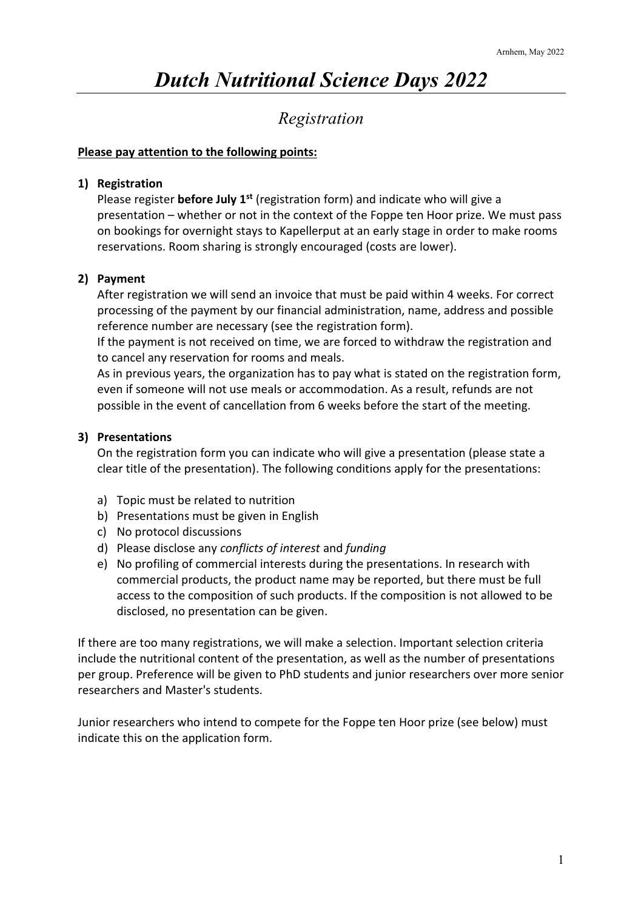# *Dutch Nutritional Science Days 2022*

## *Registration*

#### **Please pay attention to the following points:**

#### **1) Registration**

Please register **before July 1st** (registration form) and indicate who will give a presentation – whether or not in the context of the Foppe ten Hoor prize. We must pass on bookings for overnight stays to Kapellerput at an early stage in order to make rooms reservations. Room sharing is strongly encouraged (costs are lower).

### **2) Payment**

After registration we will send an invoice that must be paid within 4 weeks. For correct processing of the payment by our financial administration, name, address and possible reference number are necessary (see the registration form).

If the payment is not received on time, we are forced to withdraw the registration and to cancel any reservation for rooms and meals.

As in previous years, the organization has to pay what is stated on the registration form, even if someone will not use meals or accommodation. As a result, refunds are not possible in the event of cancellation from 6 weeks before the start of the meeting.

### **3) Presentations**

On the registration form you can indicate who will give a presentation (please state a clear title of the presentation). The following conditions apply for the presentations:

- a) Topic must be related to nutrition
- b) Presentations must be given in English
- c) No protocol discussions
- d) Please disclose any *conflicts of interest* and *funding*
- e) No profiling of commercial interests during the presentations. In research with commercial products, the product name may be reported, but there must be full access to the composition of such products. If the composition is not allowed to be disclosed, no presentation can be given.

If there are too many registrations, we will make a selection. Important selection criteria include the nutritional content of the presentation, as well as the number of presentations per group. Preference will be given to PhD students and junior researchers over more senior researchers and Master's students.

Junior researchers who intend to compete for the Foppe ten Hoor prize (see below) must indicate this on the application form.